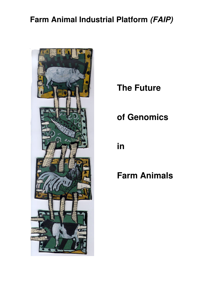# **Farm Animal Industrial Platform (FAIP)**



**The Future** 

# **of Genomics**

**in** 

# **Farm Animals**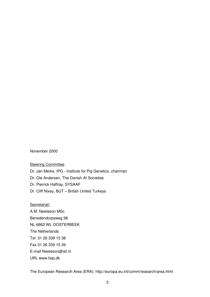November 2000

#### **Steering Committee**

Dr. Jan Merks, IPG - Institute for Pig Genetics, chairman

Dr. Ole Andersen, The Danish AI Societies

Dr. Pierrick Haffray, SYSAAF

Dr. Cliff Nixey, BUT – British United Turkeys

#### Secretariat:

A.M. Neeteson MSc Benedendorpsweg 98 NL-6862 WL OOSTERBEEK The Netherlands Tel 31 26 339 15 38 Fax 31 26 339 15 39 E-mail Neeteson@iaf.nl URL www.faip.dk

The European Research Area (ERA): http://europa.eu.int/comm/research/area.html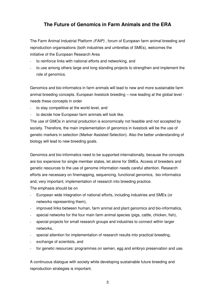# **The Future of Genomics in Farm Animals and the ERA**

The Farm Animal Industrial Platform (FAIP) , forum of European farm animal breeding and reproduction organisations (both industries and umbrellas of SMEs), welcomes the initiative of the European Research Area

- to reinforce links with national efforts and networking, and
- to use among others large and long standing projects to strengthen and implement the role of genomics.

Genomics and bio-informatics in farm animals will lead to new and more sustainable farm animal breeding concepts. European livestock breeding – now leading at the global level needs these concepts in order

- to stay competitive at the world level, and
- to decide how European farm animals will look like.

The use of GMOs in animal production is economically not feasible and not accepted by society. Therefore, the main implementation of genomics in livestock will be the use of genetic markers in selection (Marker Assisted Selection). Also the better understanding of biology will lead to new breeding goals.

Genomics and bio-informatics need to be supported internationally, because the concepts are too expensive for single member states, let alone for SMEs. Access of breeders and genetic resources to the use of genome information needs careful attention. Research efforts are necessary on finemapping, sequencing, functional genomics, bio-informatics and, very important, implementation of research into breeding practice.

The emphasis should be on

- European wide integration of national efforts, including industries and SMEs (or networks representing them),
- improved links between human, farm animal and plant genomics and bio-informatics,
- special networks for the four main farm animal species (pigs, cattle, chicken, fish),
- special projects for small research groups and industries to connect within larger networks,
- special attention for implementation of research results into practical breeding,
- exchange of scientists, and
- for genetic resources: programmes on semen, egg and embryo preservation and use.

A continuous dialogue with society while developing sustainable future breeding and reproduction strategies is important.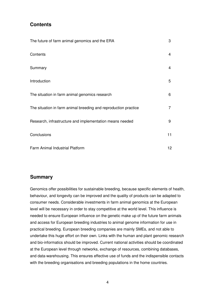# **Contents**

| The future of farm animal genomics and the ERA                  | 3               |
|-----------------------------------------------------------------|-----------------|
| Contents                                                        | 4               |
| Summary                                                         | 4               |
| Introduction                                                    | 5               |
| The situation in farm animal genomics research                  | 6               |
| The situation in farm animal breeding and reproduction practice | 7               |
| Research, infrastructure and implementation means needed        | 9               |
| Conclusions                                                     | 11              |
| Farm Animal Industrial Platform                                 | 12 <sub>2</sub> |

## **Summary**

Genomics offer possibilities for sustainable breeding, because specific elements of health, behaviour, and longevity can be improved and the quality of products can be adapted to consumer needs. Considerable investments in farm animal genomics at the European level will be necessary in order to stay competitive at the world level. This influence is needed to ensure European influence on the genetic make up of the future farm animals and access for European breeding industries to animal genome information for use in practical breeding. European breeding companies are mainly SMEs, and not able to undertake this huge effort on their own. Links with the human and plant genomic research and bio-informatics should be improved. Current national activities should be coordinated at the European level through networks, exchange of resources, combining databases, and data-warehousing. This ensures effective use of funds and the indispensible contacts with the breeding organisations and breeding populations in the home countries.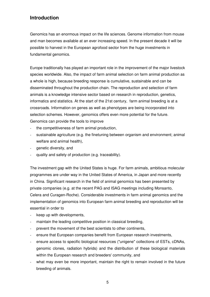# **Introduction**

Genomics has an enormous impact on the life sciences. Genome information from mouse and man becomes available at an ever increasing speed. In the present decade it will be possible to harvest in the European agrofood sector from the huge investments in fundamental genomics.

Europe traditionally has played an important role in the improvement of the major livestock species worldwide. Also, the impact of farm animal selection on farm animal production as a whole is high, because breeding response is cumulative, sustainable and can be disseminated throughout the production chain. The reproduction and selection of farm animals is a knowledge intensive sector based on research in reproduction, genetics, informatics and statistics. At the start of the 21st century, farm animal breeding is at a crossroads. Information on genes as well as phenotypes are being incorporated into selection schemes. However, genomics offers even more potential for the future. Genomics can provide the tools to improve

- the competitiveness of farm animal production,
- sustainable agriculture (e.g. the finetuning between organism and environment; animal welfare and animal health),
- genetic diversity, and
- quality and safety of production (e.g. traceability).

The investment gap with the United States is huge. For farm animals, ambitious molecular programmes are under way in the United States of America, in Japan and more recently in China. Significant research in the field of animal genomics has been presented by private companies (e.g. at the recent PAG and ISAG meetings including Monsanto, Celera and Curagen-Roche). Considerable investments in farm animal genomics and the implementation of genomics into European farm animal breeding and reproduction will be essential in order to

- keep up with developments,
- maintain the leading competitive position in classical breeding,
- prevent the movement of the best scientists to other continents,
- ensure that European companies benefit from European research investments,
- ensure access to specific biological resources ("unigene" collections of ESTs, cDNAs, genomic clones, radiation hybrids) and the distribution of these biological materials within the European research and breeders' community, and
- what may even be more important, maintain the right to remain involved in the future breeding of animals.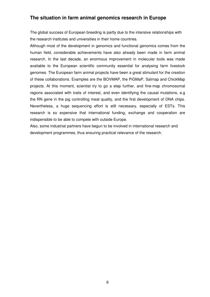# **The situation in farm animal genomics research in Europe**

The global success of European breeding is partly due to the intensive relationships with the research institutes and universities in their home countries.

Although most of the development in genomics and functional genomics comes from the human field, considerable achievements have also already been made in farm animal research. In the last decade, an enormous improvement in molecular tools was made available to the European scientific community essential for analysing farm livestock genomes. The European farm animal projects have been a great stimulant for the creation of these collaborations. Examples are the BOVMAP, the PiGMaP, Salmap and ChickMap projects. At this moment, scientist try to go a step further, and fine-map chromosomal regions associated with traits of interest, and even identifying the causal mutations, e.g the RN gene in the pig controlling meat quality, and the first development of DNA chips. Nevertheless, a huge sequencing effort is still necessary, especially of ESTs. This research is so expensive that international funding, exchange and cooperation are indispensible to be able to compete with outside Europe.

Also, some industrial partners have begun to be involved in international research and development programmes, thus ensuring practical relevance of the research.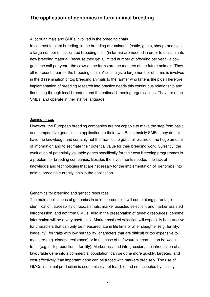# **The application of genomics in farm animal breeding**

#### A lot of animals and SMEs involved in the breeding chain

In contrast to plant breeding, in the breeding of ruminants (cattle, goats, sheep) and pigs, a large number of associated breeding units (in farms) are needed in order to disseminate new breeding material. Because they get a limited number of offspring per year - a cow gets one calf per year - the cows at the farms are the mothers of the future animals. They all represent a part of the breeding chain. Also in pigs, a large number of farms is involved in the dissemination of top breeding animals to the farmer who fattens the pigs.Therefore implementation of breeding research into practice needs this continuous relationship and finetuning through local breeders and the national breeding organisations. They are often SMEs, and operate in their native language.

#### Joining forces

However, the European breeding companies are not capable to make the step from basic and comparative genomics to application on their own. Being mainly SMEs, they do not have the knowledge and certainly not the facilities to get a full picture of the huge amount of information and to estimate their potential value for their breeding work. Currently, the evaluation of potentially valuable genes specifically for their own breeding programmes is a problem for breeding companies. Besides the investments needed, the lack of knowledge and technologies that are necessary for the implementation of genomics into animal breeding currently inhibits the application.

#### Genomics for breeding and genetic resources

The main applications of genomics in animal production will come along parentage identification, traceability of food/animals, marker assisted selection, and marker assisted introgression, and not from GMOs. Also in the preservation of genetic resources, genome information will be a very useful tool. Marker assisted selection will especially be attractive for characters that can only be measured late in life time or after slaughter (e.g. fertility, longevity), for traits with low heritability, characters that are difficult or too expensive to measure (e.g. disease resistance) or in the case of unfavourable correlation between traits (e.g. milk production – fertility). Marker assisted introgression, the introduction of a favourable gene into a commercial population, can be done more quickly, targeted, and cost-effectively if an important gene can be traced with markers precisely. The use of GMOs in animal production is economically not feasible and not accepted by society.

7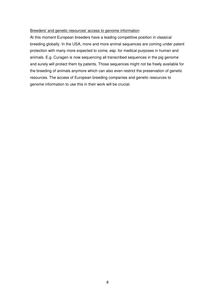#### Breeders' and genetic resources' access to genome information

At this moment European breeders have a leading competitive position in classical breeding globally. In the USA, more and more animal sequences are coming under patent protection with many more expected to come, esp. for medical purposes in human and animals. E.g. Curagen is now sequencing all transcribed sequences in the pig genome and surely will protect them by patents. Those sequences might not be freely available for the breeding of animals anymore which can also even restrict the preservation of genetic resources. The access of European breeding companies and genetic resources to genome information to use this in their work will be crucial.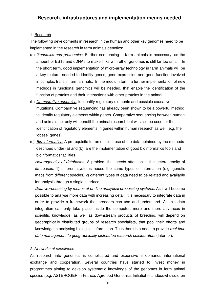## 1. Research

The following developments in research in the human and other key genomes need to be implemented in the research in farm animals genetics:

- (a) Genomics and proteomics. Further sequencing in farm animals is necessary, as the amount of ESTs and cDNAs to make links with other genomes is still far too small. In the short term, good implementation of micro-array technology in farm animals will be a key feature, needed to identify genes, gene expression and gene function involved in complex traits in farm animals. In the medium term, a further implementation of new methods in functional genomics will be needed, that enable the identification of the function of proteins and their interactions with other proteins in the animal.
- (b) Comparative genomics, to identify regulatory elements and possible causative mutations. Comparative sequencing has already been shown to be a powerful method to identify regulatory elements within genes. Comparative sequencing between human and animals not only will benefit the animal research but will also be used for the identification of regulatory elements in genes within human research as well (e.g. the 'obese' genes).
- (c) Bio-informatics. A prerequisite for an efficient use of the data obtained by the methods described under (a) and (b), are the implementation of good bioinformatics tools and bioinformatics facilities.

Heterogeneity of databases. A problem that needs attention is the heterogeneity of databases: 1) different systems house the same types of information (e.g. genetic maps from different species) 2) different types of data need to be related and available for analysis through a single interface.

Data-warehousing by means of on-line analytical processing systems. As it will become possible to analyse more data with increasing detail, it is necessary to integrate data in order to provide a framework that breeders can use and understand. As this data integration can only take place inside the computer, more and more advances in scientific knowledge, as well as downstream products of breeding, will depend on geographically distributed groups of research specialists, that pool their efforts and knowledge in analysing biological information. Thus there is a need to provide real-time data management to geographically distributed research collaborators (Internet).

## 2. Networks of excellence

As research into genomics is complicated and expensive it demands international exchange and cooperation. Several countries have started to invest money in programmes aiming to develop systematic knowledge of the genomes in farm animal species (e.g. ASTEROGER in France, Agrofood Genomics Initiatief – landbouwhuisdieren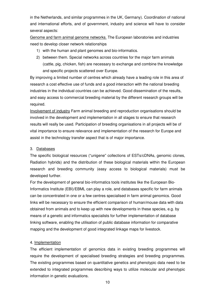in the Netherlands, and similar programmes in the UK, Germany). Coordination of national and international efforts, and of government, industry and science will have to consider several aspects:

Genome and farm animal genome networks. The European laboratories and industries need to develop closer network relationships

- 1) with the human and plant genomes and bio-informatics.
- 2) between them. Special networks across countries for the major farm animals (cattle, pig, chicken, fish) are necessary to exchange and combine the knowledge and specific projects scattered over Europe.

By improving a limited number of centres which already have a leading role in this area of research a cost effective use of funds and a good interaction with the national breeding industries in the individual countries can be achieved. Good dissemination of the results, and easy access to commercial breeding material by the different research groups will be required.

Involvement of industry Farm animal breeding and reproduction organisations should be involved in the development and implementation in all stages to ensure that research results will really be used. Participation of breeding organisations in all projects will be of vital importance to ensure relevance and implementation of the research for Europe and assist in the technology transfer aspect that is of major importance.

## 3. Databases

The specific biological resources ("unigene" collections of ESTs/cDNAs, genomic clones, Radiation hybrids) and the distribution of these biological materials within the European research and breeding community (easy access to biological materials) must be developed further.

For the development of general bio-informatics tools institutes like the European Bio-Informatics Institute (EBI)/EBML can play a role, and databases specific for farm animals can be concentrated in one or a few centres specialised in farm animal genomics. Good links will be necessary to ensure the efficient comparison of human/mouse data with data obtained from animals and to keep up with new developments in these species, e.g. by means of a genetic and informatics specialists for further implementation of database linking software, enabling the utilisation of public database information for comparative mapping and the development of good integrated linkage maps for livestock.

## 4. Implementation

The efficient implementation of genomics data in existing breeding programmes will require the development of specialised breeding strategies and breeding programmes. The existing programmes based on quantitative genetics and phenotypic data need to be extended to integrated programmes describing ways to utilize molecular and phenotypic information in genetic evaluations.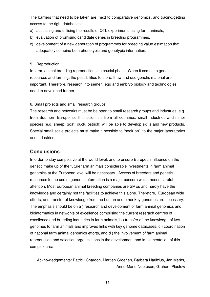The barriers that need to be taken are, next to comparative genomics, and tracing/getting access to the right databases:

- a) accessing and utilising the results of QTL experiments using farm animals,
- b) evaluation of promising candidate genes in breeding programmes.
- c) development of a new generation of programmes for breeding value estimation that adequately combine both phenotypic and genotypic information.

#### 5. Reproduction

In farm animal breeding reproduction is a crucial phase. When it comes to genetic resources and farming, the possibilities to store, thaw and use genetic material are important. Therefore, research into semen, egg and embryo biology and technologies need to developed further.

#### 6. Small projects and small research groups

The research and networks must be be open to small research groups and industries, e.g. from Southern Europe, so that scientists from all countries, small industries and minor species (e.g. sheep, goat, duck, ostrich) will be able to develop skills and new products. Special small scale projects must make it possible to 'hook on' to the major laboratories and industries.

# **Conclusions**

In order to stay competitive at the world level, and to ensure European influence on the genetic make up of the future farm animals considerable investments in farm animal genomics at the European level will be necessary. Access of breeders and genetic resources to the use of genome information is a major concern which needs careful attention. Most European animal breeding companies are SMEs and hardly have the knowledge and certainly not the facilities to achieve this alone. Therefore, European wide efforts, and transfer of knowledge from the human and other key genomes are necessary. The emphasis should be on a ) research and development of farm animal genomics and bioinformatics in networks of excellence comprising the current reserach centres of excellence and breeding industries in farm animals, b ) transfer of the knowledge of key genomes to farm animals and improved links with key genome databases, c ) coordination of national farm animal genomics efforts, and d ) the involvement of farm animal reproduction and selection organisations in the development and implementation of this complex area.

Acknowledgements: Patrick Chardon, Martien Groenen, Barbara Harlizius, Jan Merks, Anne-Marie Neeteson, Graham Plastow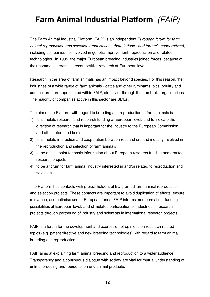# **Farm Animal Industrial Platform** (FAIP) \_\_\_\_\_\_\_\_\_\_\_\_\_\_\_\_\_\_\_\_\_\_\_\_\_\_\_\_\_\_\_\_\_\_\_\_\_\_\_\_\_\_\_\_\_\_\_\_\_\_\_\_\_\_\_\_\_\_\_\_\_\_\_\_\_\_

The Farm Animal Industrial Platform (FAIP) is an independent *European forum for farm* animal reproduction and selection organisations (both industry and farmer's cooperatives), including companies not involved in genetic improvement, reproduction and related technologies. In 1995, the major European breeding industries joined forces, because of their common interest in precompetitive research at European level.

Research in the area of farm animals has an impact beyond species. For this reason, the industries of a wide range of farm animals - cattle and other ruminants, pigs, poultry and aquaculture - are represented within FAIP, directly or through their umbrella organisations. The majority of companies active in this sector are SMEs.

The aim of the Platform with regard to breeding and reproduction of farm animals is:

- 1) to stimulate research and research funding at European level, and to indicate the direction of research that is important for the industry to the European Commission and other interested bodies,
- 2) to stimulate interaction and cooperation between researchers and industry involved in the reproduction and selection of farm animals
- 3) to be a focal point for basic information about European research funding and granted research projects
- 4) to be a forum for farm animal industry interested in and/or related to reproduction and selection.

The Platform has contacts with project holders of EU granted farm animal reproduction and selection projects. These contacts are important to avoid duplication of efforts, ensure relevance, and optimise use of European funds. FAIP informs members about funding possibilities at European level, and stimulates participation of industries in research projects through partnering of industry and scientists in international research projects.

FAIP is a forum for the development and expression of opinions on research related topics (e.g. patent directive and new breeding technologies) with regard to farm animal breeding and reproduction.

FAIP aims at explaining farm animal breeding and reproduction to a wider audience. Transparency and a continuous dialogue with society are vital for mutual understanding of animal breeding and reproduction and animal products.